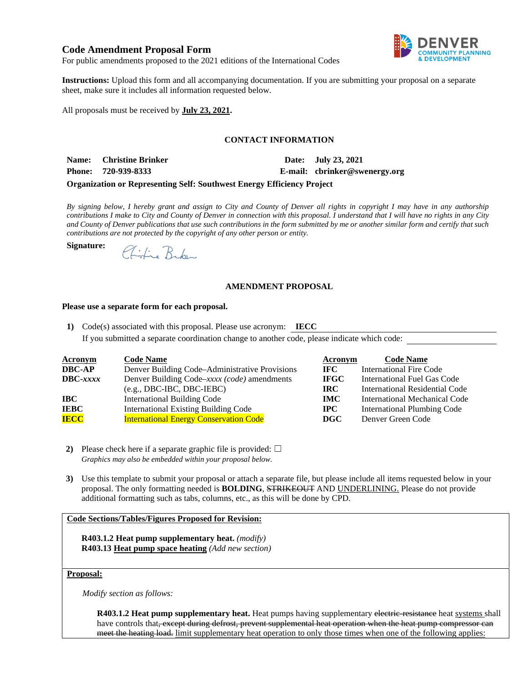# **Code Amendment Proposal Form**



For public amendments proposed to the 2021 editions of the International Codes

**Instructions:** Upload this form and all accompanying documentation. If you are submitting your proposal on a separate sheet, make sure it includes all information requested below.

All proposals must be received by **July 23, 2021.** 

### **CONTACT INFORMATION**

Name: Christine Brinker Date: July 23, 2021

**Signature:**

**Phone: 720-939-8333 E-mail: [cbrinker@swenergy.org](mailto:cbrinker@swenergy.org)**

#### **Organization or Representing Self: Southwest Energy Efficiency Project**

*By signing below, I hereby grant and assign to City and County of Denver all rights in copyright I may have in any authorship contributions I make to City and County of Denver in connection with this proposal. I understand that I will have no rights in any City and County of Denver publications that use such contributions in the form submitted by me or another similar form and certify that such contributions are not protected by the copyright of any other person or entity.* 

Chifie Broken

## **AMENDMENT PROPOSAL**

### **Please use a separate form for each proposal.**

**1)** Code(s) associated with this proposal. Please use acronym: **IECC**  If you submitted a separate coordination change to another code, please indicate which code:

| <b>Acronym</b>    | <b>Code Name</b>                               | Acronym     | <b>Code Name</b>                      |
|-------------------|------------------------------------------------|-------------|---------------------------------------|
| <b>DBC-AP</b>     | Denver Building Code–Administrative Provisions | IFC -       | <b>International Fire Code</b>        |
| $\text{DBC}-xxxx$ | Denver Building Code–xxxx (code) amendments    | <b>IFGC</b> | International Fuel Gas Code           |
|                   | $(e.g., DBC-IBC, DBC-IEBC)$                    | IRC-        | <b>International Residential Code</b> |
| IBC               | <b>International Building Code</b>             | <b>IMC</b>  | International Mechanical Code         |
| <b>IEBC</b>       | <b>International Existing Building Code</b>    | $\bf{IPC}$  | International Plumbing Code           |
| <b>IECC</b>       | <b>International Energy Conservation Code</b>  | <b>DGC</b>  | Denver Green Code                     |

**2)** Please check here if a separate graphic file is provided:  $\Box$ *Graphics may also be embedded within your proposal below.* 

**3)** Use this template to submit your proposal or attach a separate file, but please include all items requested below in your proposal. The only formatting needed is **BOLDING**, STRIKEOUT AND UNDERLINING. Please do not provide additional formatting such as tabs, columns, etc., as this will be done by CPD.

### **Code Sections/Tables/Figures Proposed for Revision:**

**R403.1.2 Heat pump supplementary heat.** *(modify)* **R403.13 Heat pump space heating** *(Add new section)* 

## **Proposal:**

*Modify section as follows:* 

**R403.1.2 Heat pump supplementary heat.** Heat pumps having supplementary electric-resistance heat systems shall have controls that, except during defrost, prevent supplemental heat operation when the heat pump compressor can meet the heating load. limit supplementary heat operation to only those times when one of the following applies: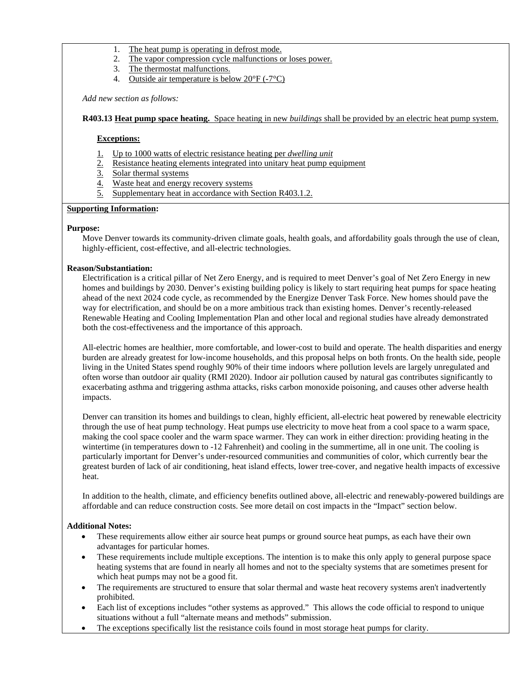- 1. The heat pump is operating in defrost mode.
- 2. The vapor compression cycle malfunctions or loses power.
- 3. The thermostat malfunctions.
- 4. Outside air temperature is below 20°F (-7°C)

*Add new section as follows:* 

### **R403.13 Heat pump space heating.** Space heating in new *buildings* shall be provided by an electric heat pump system.

### **Exceptions:**

- 1. Up to 1000 watts of electric resistance heating per *dwelling unit*
- 2. Resistance heating elements integrated into unitary heat pump equipment
- 3. Solar thermal systems
- 4. Waste heat and energy recovery systems
- 5. Supplementary heat in accordance with Section R403.1.2.

### **Supporting Information:**

### **Purpose:**

Move Denver towards its community-driven climate goals, health goals, and affordability goals through the use of clean, highly-efficient, cost-effective, and all-electric technologies.

### **Reason/Substantiation:**

Electrification is a critical pillar of Net Zero Energy, and is required to meet Denver's goal of Net Zero Energy in new homes and buildings by 2030. Denver's existing building policy is likely to start requiring heat pumps for space heating ahead of the next 2024 code cycle, as recommended by the Energize Denver Task Force. New homes should pave the way for electrification, and should be on a more ambitious track than existing homes. Denver's recently-released Renewable Heating and Cooling Implementation Plan and other local and regional studies have already demonstrated both the cost-effectiveness and the importance of this approach.

All-electric homes are healthier, more comfortable, and lower-cost to build and operate. The health disparities and energy burden are already greatest for low-income households, and this proposal helps on both fronts. On the health side, people living in the United States spend roughly 90% of their time indoors where pollution levels are largely unregulated and often worse than outdoor air quality (RMI 2020). Indoor air pollution caused by natural gas contributes significantly to exacerbating asthma and triggering asthma attacks, risks carbon monoxide poisoning, and causes other adverse health impacts.

Denver can transition its homes and buildings to clean, highly efficient, all-electric heat powered by renewable electricity through the use of heat pump technology. Heat pumps use electricity to move heat from a cool space to a warm space, making the cool space cooler and the warm space warmer. They can work in either direction: providing heating in the wintertime (in temperatures down to -12 Fahrenheit) and cooling in the summertime, all in one unit. The cooling is particularly important for Denver's under-resourced communities and communities of color, which currently bear the greatest burden of lack of air conditioning, heat island effects, lower tree-cover, and negative health impacts of excessive heat.

In addition to the health, climate, and efficiency benefits outlined above, all-electric and renewably-powered buildings are affordable and can reduce construction costs. See more detail on cost impacts in the "Impact" section below.

#### **Additional Notes:**

- These requirements allow either air source heat pumps or ground source heat pumps, as each have their own advantages for particular homes.
- These requirements include multiple exceptions. The intention is to make this only apply to general purpose space heating systems that are found in nearly all homes and not to the specialty systems that are sometimes present for which heat pumps may not be a good fit.
- The requirements are structured to ensure that solar thermal and waste heat recovery systems aren't inadvertently prohibited.
- Each list of exceptions includes "other systems as approved." This allows the code official to respond to unique situations without a full "alternate means and methods" submission.
- The exceptions specifically list the resistance coils found in most storage heat pumps for clarity.